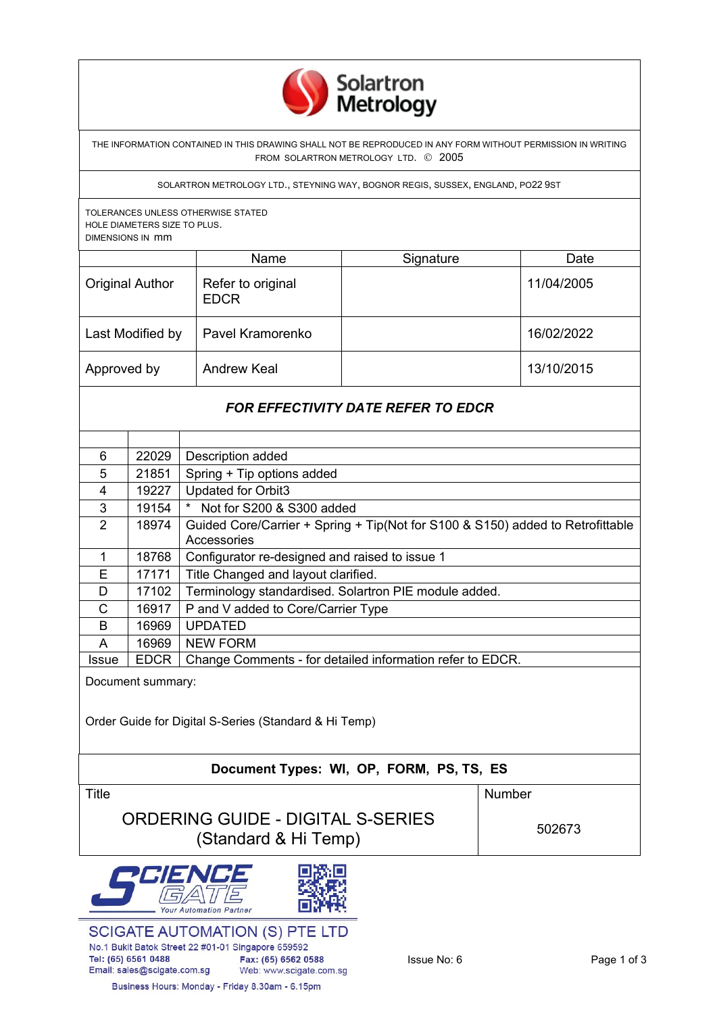

THE INFORMATION CONTAINED IN THIS DRAWING SHALL NOT BE REPRODUCED IN ANY FORM WITHOUT PERMISSION IN WRITING FROM SOLARTRON METROLOGY LTD. © 2005

SOLARTRON METROLOGY LTD., STEYNING WAY, BOGNOR REGIS, SUSSEX, ENGLAND, PO22 9ST

TOLERANCES UNLESS OTHERWISE STATED HOLE DIAMETERS SIZE TO PLUS. DIMENSIONS IN mm

|                        | Name                             | Signature | Date       |
|------------------------|----------------------------------|-----------|------------|
| <b>Original Author</b> | Refer to original<br><b>EDCR</b> |           | 11/04/2005 |
| Last Modified by       | Pavel Kramorenko                 |           | 16/02/2022 |
| Approved by            | <b>Andrew Keal</b>               |           | 13/10/2015 |

## *FOR EFFECTIVITY DATE REFER TO EDCR*

| 6     | 22029       | Description added                                                              |
|-------|-------------|--------------------------------------------------------------------------------|
| 5     | 21851       | Spring + Tip options added                                                     |
| 4     | 19227       | <b>Updated for Orbit3</b>                                                      |
| 3     | 19154       | $\star$<br>Not for S200 & S300 added                                           |
| 2     | 18974       | Guided Core/Carrier + Spring + Tip(Not for S100 & S150) added to Retrofittable |
|       |             | Accessories                                                                    |
| 1     | 18768       | Configurator re-designed and raised to issue 1                                 |
| E     | 17171       | Title Changed and layout clarified.                                            |
| D     | 17102       | Terminology standardised. Solartron PIE module added.                          |
| C     | 16917       | P and V added to Core/Carrier Type                                             |
| B     | 16969       | <b>UPDATED</b>                                                                 |
| A     | 16969       | <b>NEW FORM</b>                                                                |
| Issue | <b>EDCR</b> | Change Comments - for detailed information refer to EDCR.                      |

Document summary:

Order Guide for Digital S-Series (Standard & Hi Temp)

## **Document Types: WI, OP, FORM, PS, TS, ES**

Title **Number** Number ORDERING GUIDE - DIGITAL S-SERIES  $\overline{S}$  Solbe - Biorrive 6-Service  $\overline{S}$  502673

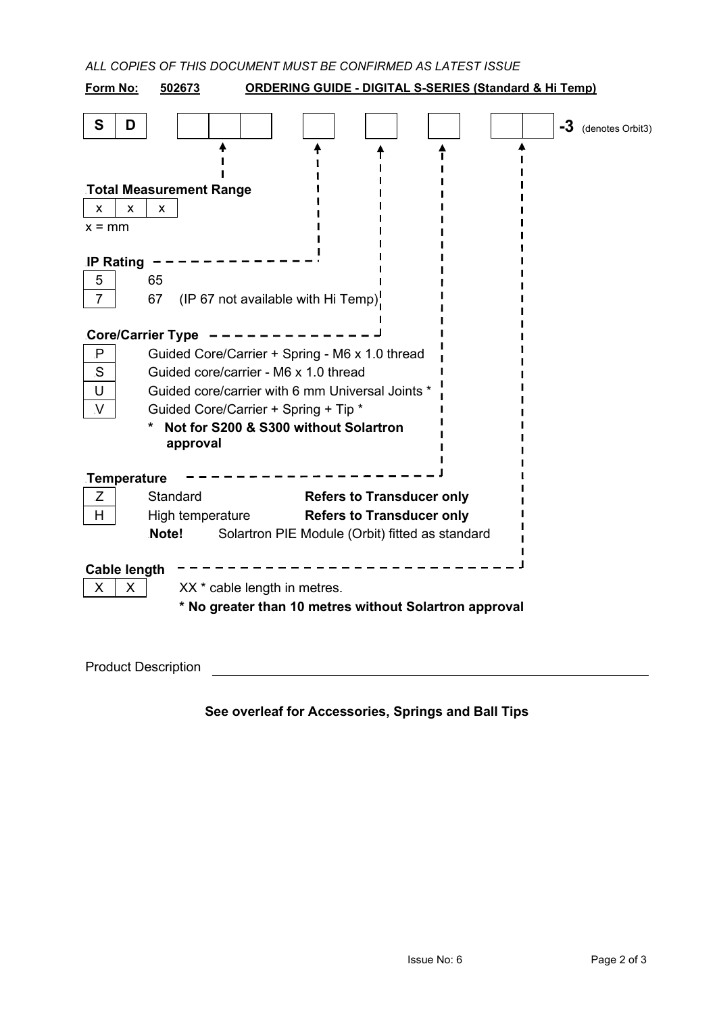| ALL COPIES OF THIS DOCUMENT MUST BE CONFIRMED AS LATEST ISSUE                           |  |  |  |  |
|-----------------------------------------------------------------------------------------|--|--|--|--|
| Form No:<br>502673<br><b>ORDERING GUIDE - DIGITAL S-SERIES (Standard &amp; Hi Temp)</b> |  |  |  |  |
| S<br>D<br>-3<br>(denotes Orbit3)                                                        |  |  |  |  |
| <b>Total Measurement Range</b>                                                          |  |  |  |  |
| X<br>X<br>x                                                                             |  |  |  |  |
| $x = mm$                                                                                |  |  |  |  |
| <b>IP Rating</b>                                                                        |  |  |  |  |
| 65<br>5                                                                                 |  |  |  |  |
| 67<br>$\overline{7}$<br>(IP 67 not available with Hi Temp)                              |  |  |  |  |
| <b>Core/Carrier Type</b>                                                                |  |  |  |  |
| Guided Core/Carrier + Spring - M6 x 1.0 thread<br>P                                     |  |  |  |  |
| S<br>Guided core/carrier - M6 x 1.0 thread                                              |  |  |  |  |
| Guided core/carrier with 6 mm Universal Joints *<br>U                                   |  |  |  |  |
| Guided Core/Carrier + Spring + Tip *<br>V                                               |  |  |  |  |
| Not for S200 & S300 without Solartron<br>approval                                       |  |  |  |  |
| Temperature                                                                             |  |  |  |  |
| Z<br>Standard<br><b>Refers to Transducer only</b>                                       |  |  |  |  |
| <b>Refers to Transducer only</b><br>H<br>High temperature                               |  |  |  |  |
| Note!<br>Solartron PIE Module (Orbit) fitted as standard                                |  |  |  |  |
| <b>Cable length</b>                                                                     |  |  |  |  |
| XX * cable length in metres.<br>X<br>X                                                  |  |  |  |  |
| * No greater than 10 metres without Solartron approval                                  |  |  |  |  |
|                                                                                         |  |  |  |  |
| <b>Product Description</b>                                                              |  |  |  |  |

**See overleaf for Accessories, Springs and Ball Tips**